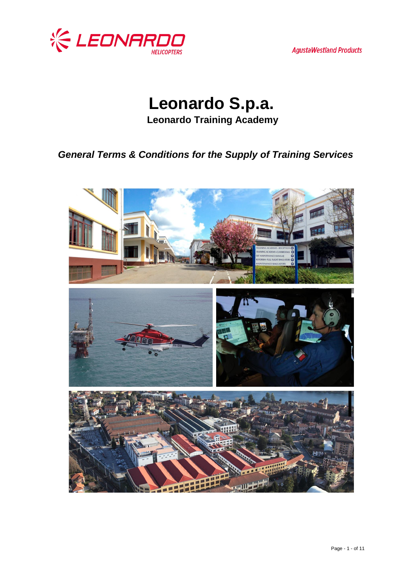

**AgustaWestland Products** 

**Leonardo S.p.a. Leonardo Training Academy**

*General Terms & Conditions for the Supply of Training Services* 

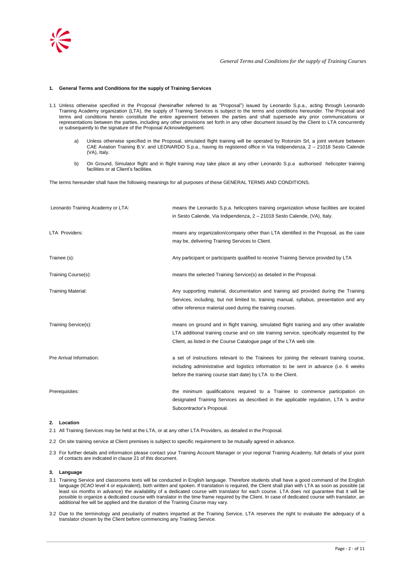

## **1. General Terms and Conditions for the supply of Training Services**

- 1.1 Unless otherwise specified in the Proposal (hereinafter referred to as "Proposal") issued by Leonardo S.p.a., acting through Leonardo Training Academy organization (LTA), the supply of Training Services is subject to the terms and conditions hereunder. The Proposal and terms and conditions herein constitute the entire agreement between the parties and shall supersede any prior communications or representations between the parties, including any other provisions set forth in any other document issued by the Client to LTA concurrently or subsequently to the signature of the Proposal Acknowledgement.
	- a) Unless otherwise specified in the Proposal, simulated flight training will be operated by Rotorsim Srl, a joint venture between CAE Aviation Training B.V. and LEONARDO S.p.a., having its registered office in Via Indipendenza, 2 – 21018 Sesto Calende (VA), Italy.
	- b) On Ground, Simulator flight and in flight training may take place at any other Leonardo S.p.a authorised helicopter training facilities or at Client"s facilities.

The terms hereunder shall have the following meanings for all purposes of these GENERAL TERMS AND CONDITIONS.

| Leonardo Training Academy or LTA: | means the Leonardo S.p.a. helicopters training organization whose facilities are located<br>in Sesto Calende, Via Indipendenza, 2 - 21018 Sesto Calende, (VA), Italy.                                                                                          |
|-----------------------------------|----------------------------------------------------------------------------------------------------------------------------------------------------------------------------------------------------------------------------------------------------------------|
| LTA Providers:                    | means any organization/company other than LTA identified in the Proposal, as the case<br>may be, delivering Training Services to Client.                                                                                                                       |
| Trainee (s):                      | Any participant or participants qualified to receive Training Service provided by LTA                                                                                                                                                                          |
| Training Course(s):               | means the selected Training Service(s) as detailed in the Proposal.                                                                                                                                                                                            |
| <b>Training Material:</b>         | Any supporting material, documentation and training aid provided during the Training<br>Services, including, but not limited to, training manual, syllabus, presentation and any<br>other reference material used during the training courses.                 |
| Training Service(s):              | means on ground and in flight training, simulated flight training and any other available<br>LTA additional training course and on site training service, specifically requested by the<br>Client, as listed in the Course Catalogue page of the LTA web site. |
| Pre Arrival Information:          | a set of instructions relevant to the Trainees for joining the relevant training course,<br>including administrative and logistics information to be sent in advance (i.e. 6 weeks<br>before the training course start date) by LTA to the Client.             |
| Prerequisites:                    | the minimum qualifications required to a Trainee to commence participation on<br>designated Training Services as described in the applicable regulation, LTA 's and/or<br>Subcontractor's Proposal.                                                            |

## **2. Location**

2.1 All Training Services may be held at the LTA, or at any other LTA Providers, as detailed in the Proposal.

2.2 On site training service at Client premises is subject to specific requirement to be mutually agreed in advance.

2.3 For further details and information please contact your Training Account Manager or your regional Training Academy, full details of your point of contacts are indicated in clause 21 of this document.

## **3. Language**

- 3.1 Training Service and classrooms texts will be conducted in English language. Therefore students shall have a good command of the English language (ICAO level 4 or equivalent), both written and spoken. If translation is required, the Client shall plan with LTA as soon as possible (at least six months in advance) the availability of a dedicated course with translator for each course. LTA does not guarantee that it will be possible to organize a dedicated course with translator in the time frame required by the Client. In case of dedicated course with translator, an additional fee will be applied and the duration of the Training Course may vary.
- 3.2 Due to the terminology and peculiarity of matters imparted at the Training Service, LTA reserves the right to evaluate the adequacy of a translator chosen by the Client before commencing any Training Service.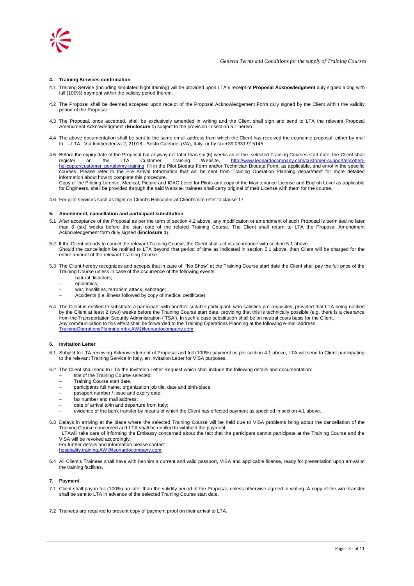

## **4. Training Services confirmation**

- 4.1 Training Service (including simulated flight training) will be provided upon LTA"s receipt of **Proposal Acknowledgment** duly signed along with full (100%) payment within the validity period therein.
- 4.2 The Proposal shall be deemed accepted upon receipt of the Proposal Acknowledgement Form duly signed by the Client within the validity period of the Proposal.
- 4.3 The Proposal, once accepted, shall be exclusively amended in writing and the Client shall sign and send to LTA the relevant Proposal Amendment Acknowledgment (**Enclosure 1**) subject to the provision in section 5.1 herein.
- 4.4 The above documentation shall be sent to the same email address from which the Client has received the economic proposal, either by mail to – LTA , Via Indipendenza 2, 21018 - Sesto Calende, (VA), Italy, or by fax +39 0331 915145.
- 4.5 Before the expiry date of the Proposal but anyway not later than six (6) weeks as of the selected Training Courses start date, the Client shall<br>register on the LTA Customer Training Website, http://www.leonardocompany. register on the LTA Customer Training Website, [http://www.leonardocompany.com/customer-support/elicotteri](http://www.leonardocompany.com/customer-support/elicotteri-helicopter/customer_portals/my-training)[helicopter/customer\\_portals/my-training](http://www.leonardocompany.com/customer-support/elicotteri-helicopter/customer_portals/my-training) fill in the Pilot Biodata Form and/or Technician Biodata Form, as applicable, and enrol in the specific courses. Please refer to the Pre Arrival Information that will be sent from Training Operation Planning department for more detailed information about how to complete this procedure.

Copy of the Piloting License, Medical, Picture and ICAO Level for Pilots and copy of the Maintenance License and English Level as applicable for Engineers, shall be provided through the said Website, trainees shall carry original of their License with them for the course.

4.6 For pilot services such as flight on Client"s Helicopter at Client"s site refer to clause 17.

#### **5. Amendment, cancellation and participant substitution**

- 5.1 After acceptance of the Proposal as per the term of section 4.2 above, any modification or amendment of such Proposal is permitted no later than 6 (six) weeks before the start date of the related Training Course. The Client shall return to LTA the Proposal Amendment Acknowledgement form duly signed (**Enclosure 1**).
- 5.2 If the Client intends to cancel the relevant Training Course, the Client shall act in accordance with section 5.1 above. Should the cancellation be notified to LTA beyond that period of time as indicated in section 5.1 above, then Client will be charged for the entire amount of the relevant Training Course.
- 5.3 The Client hereby recognizes and accepts that in case of "No Show" at the Training Course start date the Client shall pay the full price of the Training Course unless in case of the occurrence of the following events:
	- natural disasters;
	- epidemics;
	- war, hostilities, terrorism attack, sabotage;
	- Accidents (i.e. illness followed by copy of medical certificate).
- 5.4 The Client is entitled to substitute a participant with another suitable participant, who satisfies pre-requisites, provided that LTA being notified by the Client at least 2 (two) weeks before the Training Course start date, providing that this is technically possible (e.g. there is a clearance from the Transportation Security Administration ("TSA"). In such a case substitution shall be on neutral costs basis for the Client. Any communication to this effect shall be forwarded to the Training Operations Planning at the following e-mail address: [TrainingOperationsPlanning.mbx.AW@leonardocompany.com](mailto:TrainingOperationsPlanning.mbx.AW@leonardocompany.com)

#### **6. Invitation Letter**

- 6.1 Subject to LTA receiving Acknowledgment of Proposal and full (100%) payment as per section 4.1 above, LTA will send to Client participating to the relevant Training Service in Italy, an Invitation Letter for VISA purposes.
- 6.2 The Client shall send to LTA the Invitation Letter Request which shall include the following details and documentation:
	- title of the Training Course selected;
	- Training Course start date;
	- participants full name, organization job tile, date and birth-place;
	- passport number / issue and expiry date; fax number and mail address;
	- date of arrival to/in and departure from Italy;
	- evidence of the bank transfer by means of which the Client has effected payment as specified in section 4.1 above.
- 6.3 Delays in arriving at the place where the selected Training Course will be held due to VISA problems bring about the cancellation of the Training Course concerned and LTA shall be entitled to withhold the payment.
	- LTAwill take care of informing the Embassy concerned about the fact that the participant cannot participate at the Training Course and the VISA will be revoked accordingly.

For further details and information please contact

[hospitality.training.AW@leonardocompany.com](mailto:hospitality.training.AW@leonardocompany.com)

6.4 All Client"s Trainees shall have with her/him a current and valid passport, VISA and applicable license, ready for presentation upon arrival at the training facilities.

#### **7. Payment**

- 7.1 Client shall pay in full (100%) no later than the validity period of the Proposal, unless otherwise agreed in writing. A copy of the wire transfer shall be sent to LTA in advance of the selected Training Course start date.
- 7.2 Trainees are required to present copy of payment proof on their arrival to LTA.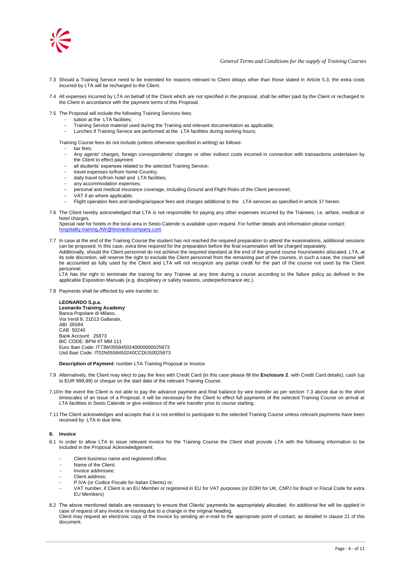

- 7.3 Should a Training Service need to be extended for reasons relevant to Client delays other than those stated in Article 5.3, the extra costs incurred by LTA will be recharged to the Client.
- 7.4 All expenses incurred by LTA on behalf of the Client which are not specified in the proposal, shall be either paid by the Client or recharged to The Client in accordance with the payment terms of this Proposal.
- 7.5 The Proposal will include the following Training Services fees:
	- tuition at the LTA facilities;
	- Training Service material used during the Training and relevant documentation as applicable;
	- Lunches if Training Service are performed at the LTA facilities during working hours;

Training Course fees do not include (unless otherwise specified in writing) as follows:

- tax fees;
- Any agents' charges, foreign correspondents' charges or other indirect costs incurred in connection with transactions undertaken by the Client to effect payment
- all students" expenses related to the selected Training Service;
- travel expenses to/from home Country;
- daily travel to/from hotel and LTA facilities;
- any accommodation expenses;
- personal and medical insurance coverage, including Ground and Flight Risks of the Client personnel;
- .<br>VAT if an where applicable;
- Flight operation fees and landing/airspace fees and charges additional to the LTA services as specified in article 17 herein.
- 7.6 The Client hereby acknowledged that LTA is not responsible for paying any other expenses incurred by the Trainees, i.e. airfare, medical or hotel charges.

Special rate for hotels in the local area in Sesto Calende is available upon request. For further details and information please contact: [hospitality.training.AW@leonardocompany.com](mailto:hospitality.training.AW@leonardocompany.com)

7.7 In case at the end of the Training Course the student has not reached the required preparation to attend the examinations, additional sessions can be proposed. In this case, extra time required for the preparation before the final examination will be charged separately. Additionally, should the Client personnel do not achieve the required standard at the end of the ground course hours/weeks allocated, LTA, at its sole discretion, will reserve the right to exclude the Client personnel from the remaining part of the courses, in such a case, the course will be accounted as fully used by the Client and LTA will not recognize any partial credit for the part of the course not used by the Client personnel.

LTA has the right to terminate the training for any Trainee at any time during a course according to the failure policy as defined in the applicable Exposition Manuals (e.g. disciplinary or safety reasons, underperformance etc.).

7.8 Payments shall be effected by wire transfer to:

## **LEONARDO S.p.a.**

**Leonardo Training Academy** Banca Popolare di Milano, Via Verdi 8, 21013 Gallarate, ABI 05584 CAB 50240 Bank Account 25873 BIC CODE: BPM IIT MM 111 Euro Iban Code: IT73W0558450240000000025873 Usd Iban Code: IT02N0558450240CCDUS0025873

**Description of Payment**: number LTA Training Proposal or Invoice

- 7.9 Alternatively, the Client may elect to pay the fees with Credit Card (in this case please fill the **Enclosure 2**. with Credit Card details), cash (up to EUR 999,99) or cheque on the start date of the relevant Training Course.
- 7.10In the event the Client is not able to pay the advance payment and final balance by wire transfer as per section 7.3 above due to the short timescales of an issue of a Proposal, it will be necessary for the Client to effect full payments of the selected Training Course on arrival at LTA facilities in Sesto Calende or give evidence of the wire transfer prior to course starting.
- 7.11The Client acknowledges and accepts that it is not entitled to participate to the selected Training Course unless relevant payments have been received by LTA in due time.

### **8. Invoice**

- 8.1 In order to allow LTA to issue relevant invoice for the Training Course the Client shall provide LTA with the following information to be included in the Proposal Acknowledgement:
	- Client business name and registered office;
	- Name of the Client;
	- Invoice addressee;
	- Client address;
	- P.IVA (or Codice Fiscale for Italian Clients) or;
	- VAT number, if Client is an EU Member or registered in EU for VAT purposes (or EORI for UK, CNPJ for Brazil or Fiscal Code for extra EU Members)
- 8.2 The above mentioned details are necessary to ensure that Clients" payments be appropriately allocated. An additional fee will be applied in case of request of any invoice re-issuing due to a change in the original heading. Client may request an electronic copy of the invoice by sending an e-mail to the appropriate point of contact, as detailed in clause 21 of this document.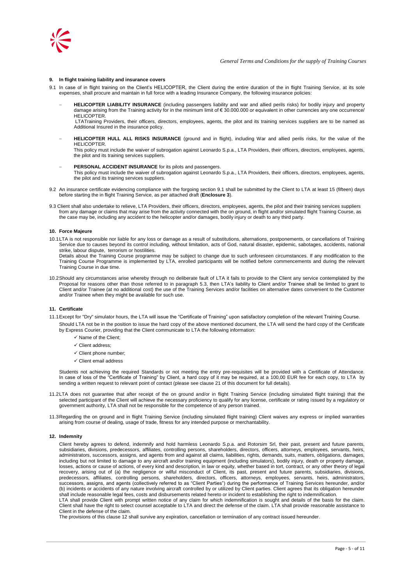

## **9. In flight training liability and insurance covers**

- 9.1 In case of in flight training on the Client"s HELICOPTER, the Client during the entire duration of the in flight Training Service, at its sole expenses, shall procure and maintain in full force with a leading Insurance Company, the following insurance policies:
	- **HELICOPTER LIABILITY INSURANCE** (including passengers liability and war and allied perils risks) for bodily injury and property damage arising from the Training activity for in the minimum limit of € 30.000.000 or equivalent in other currencies any one occurrence/ HELICOPTER

LTATraining Providers, their officers, directors, employees, agents, the pilot and its training services suppliers are to be named as Additional Insured in the insurance policy.

 **HELICOPTER HULL ALL RISKS INSURANCE** (ground and in flight), including War and allied perils risks, for the value of the HELICOPTER.

This policy must include the waiver of subrogation against Leonardo S.p.a., LTA Providers, their officers, directors, employees, agents, the pilot and its training services suppliers.

- **PERSONAL ACCIDENT INSURANCE** for its pilots and passengers. This policy must include the waiver of subrogation against Leonardo S.p.a., LTA Providers, their officers, directors, employees, agents, the pilot and its training services suppliers.
- 9.2 An insurance certificate evidencing compliance with the forgoing section 9.1 shall be submitted by the Client to LTA at least 15 (fifteen) days before starting the in flight Training Service, as per attached draft (**Enclosure 3**).
- 9.3 Client shall also undertake to relieve, LTA Providers, their officers, directors, employees, agents, the pilot and their training services suppliers from any damage or claims that may arise from the activity connected with the on ground, in flight and/or simulated flight Training Course, as the case may be, including any accident to the helicopter and/or damages, bodily injury or death to any third party.

### **10. Force Majeure**

- 10.1LTA is not responsible nor liable for any loss or damage as a result of substitutions, alternations, postponements, or cancellations of Training Service due to causes beyond its control including, without limitation, acts of God, natural disaster, epidemic, sabotages, accidents, national strike, labour dispute, terrorism or hostilities.
	- Details about the Training Course programme may be subject to change due to such unforeseen circumstances. If any modification to the Training Course Programme is implemented by LTA, enrolled participants will be notified before commencements and during the relevant Training Course in due time.
- 10.2Should any circumstances arise whereby through no deliberate fault of LTA it fails to provide to the Client any service contemplated by the Proposal for reasons other than those referred to in paragraph 5.3, then LTA"s liability to Client and/or Trainee shall be limited to grant to Client and/or Trainee (at no additional cost) the use of the Training Services and/or facilities on alternative dates convenient to the Customer and/or Trainee when they might be available for such use.

### **11. Certificate**

- 11.1Except for "Dry" simulator hours, the LTA will issue the "Certificate of Training" upon satisfactory completion of the relevant Training Course.
	- Should LTA not be in the position to issue the hard copy of the above mentioned document, the LTA will send the hard copy of the Certificate by Express Courier, providing that the Client communicate to LTA the following information:
		- $\checkmark$  Name of the Client;
		- $\checkmark$  Client address:
		- $\checkmark$  Client phone number;
		- $\checkmark$  Client email address

Students not achieving the required Standards or not meeting the entry pre-requisites will be provided with a Certificate of Attendance. In case of loss of the "Certificate of Training" by Client, a hard copy of it may be required, at a 100,00 EUR fee for each copy, to LTA by sending a written request to relevant point of contact (please see clause 21 of this document for full details).

- 11.2LTA does not guarantee that after receipt of the on ground and/or in flight Training Service (including simulated flight training) that the selected participant of the Client will achieve the necessary proficiency to qualify for any license, certificate or rating issued by a regulatory or government authority, LTA shall not be responsible for the competence of any person trained.
- 11.3Regarding the on ground and in flight Training Service (including simulated flight training) Client waives any express or implied warranties arising from course of dealing, usage of trade, fitness for any intended purpose or merchantability.

#### **12. Indemnity**

Client hereby agrees to defend, indemnify and hold harmless Leonardo S.p.a. and Rotorsim Srl, their past, present and future parents, subsidiaries, divisions, predecessors, affiliates, controlling persons, shareholders, directors, officers, attorneys, employees, servants, heirs, administrators, successors, assigns, and agents from and against all claims, liabilities, rights, demands, suits, matters, obligations, damages, including but not limited to damage to any aircraft and/or training equipment (including simulators), bodily injury, death or property damage, losses, actions or cause of actions, of every kind and description, in law or equity, whether based in tort, contract, or any other theory of legal recovery, arising out of (a) the negligence or wilful misconduct of Client, its past, present and future parents, subsidiaries, divisions, predecessors, affiliates, controlling persons, shareholders, directors, officers, attorneys, employees, servants, heirs, administrators, successors, assigns, and agents (collectively referred to as "Client Parties") during the performance of Training Services hereunder, and/or (b) incidents or accidents of any nature involving aircraft controlled by or utilized by Client parties. Client agrees that its obligation hereunder shall include reasonable legal fees, costs and disbursements related hereto or incident to establishing the right to indemnification.

LTA shall provide Client with prompt written notice of any claim for which indemnification is sought and details of the basis for the claim. Client shall have the right to select counsel acceptable to LTA and direct the defense of the claim. LTA shall provide reasonable assistance to Client in the defense of the claim.

The provisions of this clause 12 shall survive any expiration, cancellation or termination of any contract issued hereunder.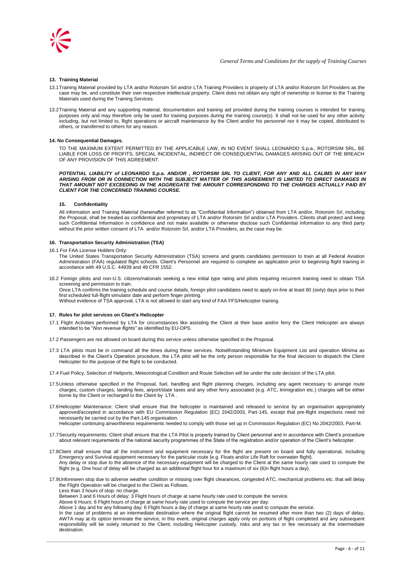

## **13. Training Material**

- 13.1Training Material provided by LTA and/or Rotorsim Srl and/or LTA Training Providers is property of LTA and/or Rotorsim Srl Providers as the case may be, and constitute their own respective intellectual property. Client does not obtain any right of ownership or license to the Training Materials used during the Training Services.
- 13.2Training Material and any supporting material, documentation and training aid provided during the training courses is intended for training purposes only and may therefore only be used for training purposes during the training course(s). It shall not be used for any other activity including, but not limited to, flight operations or aircraft maintenance by the Client and/or his personnel nor it may be copied, distributed to others, or transferred to others for any reason.

### **14. No Consequential Damages.**

TO THE MAXIMUM EXTENT PERMITTED BY THE APPLICABLE LAW, IN NO EVENT SHALL LEONARDO S.p.a., ROTORSIM SRL, BE LIABLE FOR LOSS OF PROFITS, SPECIAL INCIDENTAL, INDIRECT OR CONSEQUENTIAL DAMAGES ARISING OUT OF THE BREACH OF ANY PROVISION OF THIS AGREEMENT.

*POTENTIAL LIABILITY of LEONARDO S.p.a. AND/OR , ROTORSIM SRL TO CLIENT, FOR ANY AND ALL CALIMS IN ANY WAY ARISING FROM OR IN CONNECTION WITH THE SUBJECT MATTER OF THIS AGREEMENT IS LIMITED TO DIRECT DAMAGES IN THAT AMOUNT NOT EXCEEDING IN THE AGGREGATE THE AMOUNT CORRESPONDING TO THE CHARGES ACTUALLY PAID BY CLIENT FOR THE CONCERNED TRAINING COURSE.*

#### **15. Confidentiality**

All information and Training Material (hereinafter referred to as "Confidential Information") obtained from LTA and/or, Rotorsim Srl, including the Proposal, shall be treated as confidential and proprietary of LTA and/or Rotorsim Srl and/or LTA Providers. Clients shall protect and keep such Confidential Information in confidence and not make available or otherwise disclose such Confidential Information to any third party without the prior written consent of LTA and/or Rotorsim Srl, and/or LTA Providers, as the case may be.

### **16. Transportation Security Administration (TSA)**

- 16.1 For FAA License Holders Only:
	- The United States Transportation Security Administration (TSA) screens and grants candidates permission to train at all Federal Aviation Administration (FAA) regulated flight schools. Client"s Personnel are required to complete an application prior to beginning flight training in accordance with 49 U.S.C. 44939 and 49 CFR 1552.
- 16.2 Foreign pilots and non-U.S. citizens/nationals seeking a new initial type rating and pilots requiring recurrent training need to obtain TSA screening and permission to train. Once LTA confirms the training schedule and course details, foreign pilot candidates need to apply on-line at least 60 (sixty) days prior to their

first scheduled full-flight simulator date and perform finger printing. Without evidence of TSA approval, LTA is not allowed to start any kind of FAA FFS/Helicopter training.

## **17. Rules for pilot services on Client's Helicopter**

- 17.1 Flight Activities performed by LTA for circumstances like assisting the Client at their base and/or ferry the Client Helicopter are always intended to be "*Non revenue flights"* as identified by EU-OPS.
- 17.2 Passengers are not allowed on board during this service unless otherwise specified in the Proposal.
- 17.3 LTA pilots must be in command all the times during these services. Notwithstanding Minimum Equipment List and operation Minima as described in the Client"s Operation procedure, the LTA pilot will be the only person responsible for the final decision to dispatch the Client Helicopter for the purpose of the flight to be conducted.

17.4 Fuel Policy, Selection of Heliports, Meteorological Condition and Route Selection will be under the sole decision of the LTA pilot.

- 17.5Unless otherwise specified in the Proposal, fuel, handling and flight planning charges, including any agent necessary to arrange route charges, custom charges, landing fees, airport/state taxes and any other ferry associated (e.g. ATC, Immigration etc.) charges will be either borne by the Client or recharged to the Client by LTA .
- 17.6Helicopter Maintenance: Client shall ensure that the helicopter is maintained and released to service by an organisation appropriately approved/accepted in accordance with EU Commission Regulation (EC) 2042/2003, Part-145, except that pre-flight inspections need not necessarily be carried out by the Part-145 organisation. Helicopter continuing airworthiness requirements needed to comply with those set up in Commission Regulation (EC) No 2042/2003, Part-M.
- 
- 17.7Security requirements: Client shall ensure that the LTA Pilot is properly trained by Client personnel and in accordance with Client"s procedure about relevant requirements of the national security programmes of the State of the registration and/or operation of the Client"s helicopter.
- 17.8Client shall ensure that all the instrument and equipment necessary for the flight are present on board and fully operational, including Emergency and Survival equipment necessary for the particular route (e.g. Floats and/or Life Raft for overwater flight). Any delay or stop due to the absence of the necessary equipment will be charged to the Client at the same hourly rate used to compute the flight (e.g. One hour of delay will be charged as an additional flight hour for a maximum of six (6)n flight hours a day).
- 17.9Unforeseen stop due to adverse weather condition or missing over flight clearances, congested ATC, mechanical problems etc. that will delay the Flight Operation will be charged to the Client as Follows.

Less than 3 hours of stop: no charge.

- Between 3 and 6 Hours of delay: 3 Flight hours of charge at same hourly rate used to compute the service.
- Above 6 Hours: 6 Flight hours of charge at same hourly rate used to compute the service per day.
- Above 1 day and for any following day: 6 Flight hours a day of charge at same hourly rate used to compute the service.
- In the case of problems at an intermediate destination where the original flight cannot be resumed after more than two (2) days of delay, AWTA may at its option terminate the service, in this event, original charges apply only on portions of flight completed and any subsequent responsibility will be solely returned to the Client, including Helicopter custody, risks and any tax or fee necessary at the intermediate destination.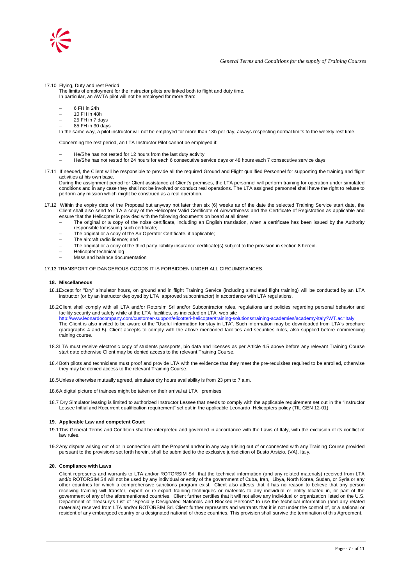

17.10 Flying, Duty and rest Period

The limits of employment for the instructor pilots are linked both to flight and duty time. In particular, an AWTA pilot will not be employed for more than:

- 6 FH in 24h
- $10$  FH in 48h
- 25 FH in 7 days
- 85 FH in 30 days

In the same way, a pilot instructor will not be employed for more than 13h per day, always respecting normal limits to the weekly rest time.

Concerning the rest period, an LTA Instructor Pilot cannot be employed if:

- He/She has not rested for 12 hours from the last duty activity
- He/She has not rested for 24 hours for each 6 consecutive service days or 48 hours each 7 consecutive service days
- 17.11 If needed, the Client will be responsible to provide all the required Ground and Flight qualified Personnel for supporting the training and flight activities at his own base.

During the assignment period for Client assistance at Client"s premises, the LTA personnel will perform training for operation under simulated conditions and in any case they shall not be involved or conduct real operations. The LTA assigned personnel shall have the right to refuse to perform any mission which might be construed as a real operation.

- 17.12 Within the expiry date of the Proposal but anyway not later than six (6) weeks as of the date the selected Training Service start date, the Client shall also send to LTA a copy of the Helicopter Valid Certificate of Airworthiness and the Certificate of Registration as applicable and ensure that the Helicopter is provided with the following documents on board at all times:
	- The original or a copy of the noise certificate, including an English translation, when a certificate has been issued by the Authority responsible for issuing such certificate;
	- The original or a copy of the Air Operator Certificate, if applicable:
	- The aircraft radio licence; and
	- The original or a copy of the third party liability insurance certificate(s) subject to the provision in section 8 herein.
	- Helicopter technical log
	- Mass and balance documentation

17.13 TRANSPORT OF DANGEROUS GOODS IT IS FORBIDDEN UNDER ALL CIRCUMSTANCES.

### **18. Miscellaneous**

- 18.1Except for "Dry" simulator hours, on ground and in flight Training Service (including simulated flight training) will be conducted by an LTA instructor (or by an instructor deployed by LTA approved subcontractor) in accordance with LTA regulations.
- 18.2Client shall comply with all LTA and/or Rotorsim Srl and/or Subcontractor rules, regulations and policies regarding personal behavior and facility security and safety while at the LTA facilities, as indicated on LTA web site <http://www.leonardocompany.com/customer-support/elicotteri-helicopter/training-solutions/training-academies/academy-italy?WT.ac=Italy> The Client is also invited to be aware of the "Useful information for stay in LTA". Such information may be downloaded from LTA"s brochure (paragraphs 4 and 5). Client accepts to comply with the above mentioned facilities and securities rules, also supplied before commencing training course.
- 18.3LTA must receive electronic copy of students passports, bio data and licenses as per Article 4.5 above before any relevant Training Course start date otherwise Client may be denied access to the relevant Training Course.
- 18.4Both pilots and technicians must proof and provide LTA with the evidence that they meet the pre-requisites required to be enrolled, otherwise they may be denied access to the relevant Training Course.

18.5Unless otherwise mutually agreed, simulator dry hours availability is from 23 pm to 7 a.m.

18.6A digital picture of trainees might be taken on their arrival at LTA premises

18.7 Dry Simulator leasing is limited to authorized Instructor Lessee that needs to comply with the applicable requirement set out in the "Instructor Lessee Initial and Recurrent qualification requirement" set out in the applicable Leonardo Helicopters policy (TIL GEN 12-01)

## **19. Applicable Law and competent Court**

- 19.1This General Terms and Condition shall be interpreted and governed in accordance with the Laws of Italy, with the exclusion of its conflict of law rules.
- 19.2Any dispute arising out of or in connection with the Proposal and/or in any way arising out of or connected with any Training Course provided pursuant to the provisions set forth herein, shall be submitted to the exclusive jurisdiction of Busto Arsizio, (VA), Italy.

#### **20. Compliance with Laws**

Client represents and warrants to LTA and/or ROTORSIM Srl that the technical information (and any related materials) received from LTA and/o ROTORSIM Srl will not be used by any individual or entity of the government of Cuba, Iran, Libya, North Korea, Sudan, or Syria or any other countries for which a comprehensive sanctions program exist. Client also attests that it has no reason to believe that any person receiving training will transfer, export or re-export training techniques or materials to any individual or entity located in, or part of the government of any of the aforementioned countries. Client further certifies that it will not allow any individual or organization listed on the U.S. Department of Treasury's List of "Specially Designated Nationals and Blocked Persons" to use the technical information (and any related materials) received from LTA and/or ROTORSIM Srl. Client further represents and warrants that it is not under the control of, or a national or resident of any embargoed country or a designated national of those countries. This provision shall survive the termination of this Agreement.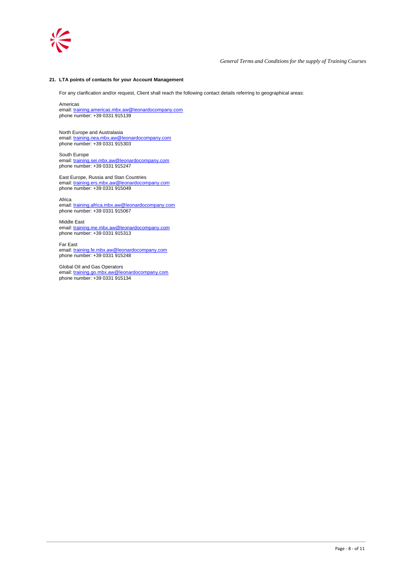

## **21. LTA points of contacts for your Account Management**

For any clarification and/or request, Client shall reach the following contact details referring to geographical areas:

Americas

email[: training.americas.mbx.aw@leonardocompany.com](mailto:training.americas.mbx.aw@leonardocompany.com) phone number: +39 0331 915139

North Europe and Australasia email[: training.nea.mbx.aw@leonardocompany.com](mailto:training.nea.mbx.aw@finmeccanica.com) phone number: +39 0331 915303

South Europe email[: training.sei.mbx.aw@leonardocompany.com](mailto:training.sei.mbx.aw@finmeccanica.com) phone number: +39 0331 915247

East Europe, Russia and Stan Countries email[: training.ers.mbx.aw@leonardocompany.com](mailto:training.ers.mbx.aw@finmeccanica.com) phone number: +39 0331 915049

Africa email[: training.africa.mbx.aw@leonardocompany.com](mailto:training.africa.mbx.aw@finmeccanica.com) phone number: +39 0331 915067

Middle East email[: training.me.mbx.aw@leonardocompany.com](mailto:training.me.mbx.aw@finmeccanica.com) phone number: +39 0331 915313

Far East email[: training.fe.mbx.aw@leonardocompany.com](mailto:training.fe.mbx.aw@finmeccanica.com) phone number: +39 0331 915248

Global Oil and Gas Operators email[: training.go.mbx.aw@leonardocompany.com](mailto:training.go.mbx.aw@finmeccanica.com) phone number: +39 0331 915134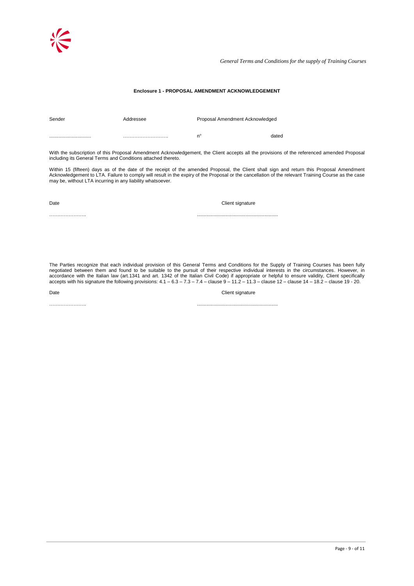*General Terms and Conditions for the supply of Training Courses*

## **Enclosure 1 - PROPOSAL AMENDMENT ACKNOWLEDGEMENT**

| Sender | Addressee | Proposal Amendment Acknowledged |       |
|--------|-----------|---------------------------------|-------|
|        |           | n°                              | dated |

………………….. ............................................................

With the subscription of this Proposal Amendment Acknowledgement, the Client accepts all the provisions of the referenced amended Proposal including its General Terms and Conditions attached thereto.

Within 15 (fifteen) days as of the date of the receipt of the amended Proposal, the Client shall sign and return this Proposal Amendment Acknowledgement to LTA. Failure to comply will result in the expiry of the Proposal or the cancellation of the relevant Training Course as the case may be, without LTA incurring in any liability whatsoever.

Date Client signature Client signature

The Parties recognize that each individual provision of this General Terms and Conditions for the Supply of Training Courses has been fully negotiated between them and found to be suitable to the pursuit of their respective individual interests in the circumstances. However, in accordance with the Italian law (art.1341 and art. 1342 of the Italian Civil Code) if appropriate or helpful to ensure validity, Client specifically accepts with his signature the following provisions: 4.1 – 6.3 – 7.3 – 7.4 – clause 9 – 11.2 – 11.3 – clause 12 – clause 14 – 18.2 – clause 19 - 20.

Date Client signature Client signature

………………….. ............................................................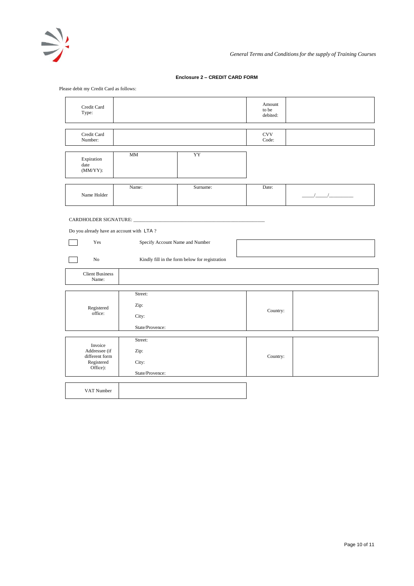

# **Enclosure 2 – CREDIT CARD FORM**

Please debit my Credit Card as follows:

| Credit Card<br>Type:                                                                                                   |                                             |                                                |  | Amount<br>to be<br>debited:             |                      |
|------------------------------------------------------------------------------------------------------------------------|---------------------------------------------|------------------------------------------------|--|-----------------------------------------|----------------------|
| Credit Card<br>Number:                                                                                                 |                                             |                                                |  | $_{\mbox{\small\textsf{CVV}}}$<br>Code: |                      |
| Expiration<br>date<br>$(MM/YY)$ :                                                                                      | MM                                          | YY                                             |  |                                         |                      |
| Name Holder                                                                                                            | Name:                                       | Surname:                                       |  | Date:                                   | $\frac{1}{\sqrt{2}}$ |
| CARDHOLDER SIGNATURE: __________<br>Do you already have an account with LTA?<br>Specify Account Name and Number<br>Yes |                                             |                                                |  |                                         |                      |
| No                                                                                                                     |                                             | Kindly fill in the form below for registration |  |                                         |                      |
| <b>Client Business</b><br>Name:                                                                                        |                                             |                                                |  |                                         |                      |
| Registered<br>office:                                                                                                  | Street:<br>Zip:<br>City:<br>State/Provence: |                                                |  | Country:                                |                      |
| Invoice<br>Addressee (if<br>different form<br>Registered<br>Office):                                                   | Street:<br>Zip:<br>City:<br>State/Provence: |                                                |  | Country:                                |                      |
| VAT Number                                                                                                             |                                             |                                                |  |                                         |                      |